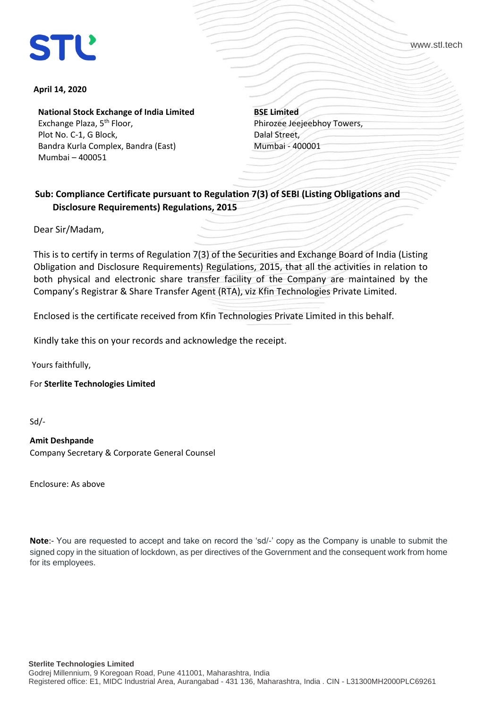www.stl.tech

## **April 14, 2020**

**National Stock Exchange of India Limited**

Exchange Plaza, 5<sup>th</sup> Floor, Plot No. C-1, G Block, Bandra Kurla Complex, Bandra (East) Mumbai – 400051

**BSE Limited** Phirozee Jeejeebhoy Towers, Dalal Street, Mumbai - 400001

 **Sub: Compliance Certificate pursuant to Regulation 7(3) of SEBI (Listing Obligations and Disclosure Requirements) Regulations, 2015** 

Dear Sir/Madam,

This is to certify in terms of Regulation 7(3) of the Securities and Exchange Board of India (Listing Obligation and Disclosure Requirements) Regulations, 2015, that all the activities in relation to both physical and electronic share transfer facility of the Company are maintained by the Company's Registrar & Share Transfer Agent (RTA), viz Kfin Technologies Private Limited.

Enclosed is the certificate received from Kfin Technologies Private Limited in this behalf.

Kindly take this on your records and acknowledge the receipt.

Yours faithfully,

For **Sterlite Technologies Limited**

Sd/-

**Amit Deshpande**  Company Secretary & Corporate General Counsel

Enclosure: As above

**Note**:- You are requested to accept and take on record the 'sd/-' copy as the Company is unable to submit the signed copy in the situation of lockdown, as per directives of the Government and the consequent work from home for its employees.